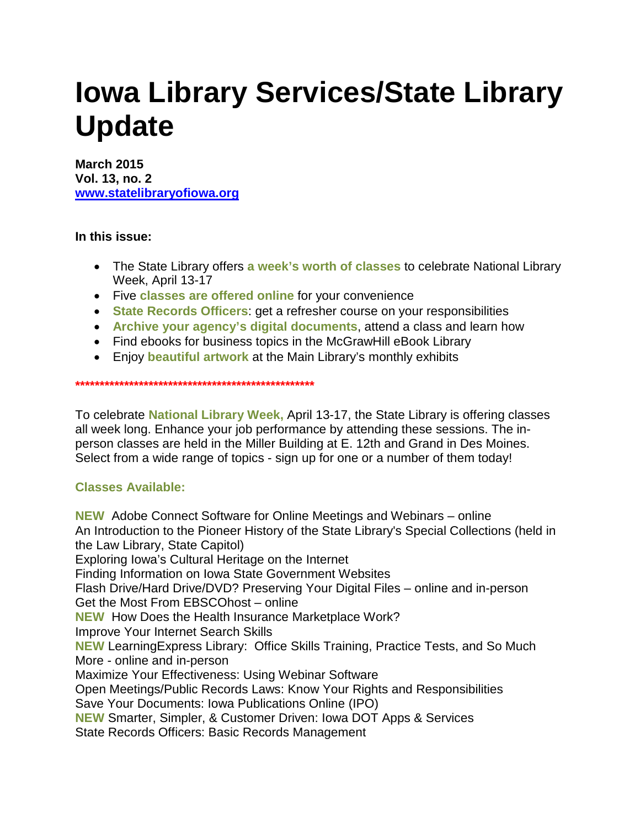# **Iowa Library Services/State Library Update**

**March 2015 Vol. 13, no. 2 [www.statelibraryofiowa.org](http://www.statelibraryofiowa.org/)**

**In this issue:**

- The State Library offers **a week's worth of classes** to celebrate National Library Week, April 13-17
- Five **classes are offered online** for your convenience
- **State Records Officers**: get a refresher course on your responsibilities
- **Archive your agency's digital documents**, attend a class and learn how
- Find ebooks for business topics in the McGrawHill eBook Library
- Enjoy **beautiful artwork** at the Main Library's monthly exhibits

**\*\*\*\*\*\*\*\*\*\*\*\*\*\*\*\*\*\*\*\*\*\*\*\*\*\*\*\*\*\*\*\*\*\*\*\*\*\*\*\*\*\*\*\*\*\*\*\*\***

To celebrate **National Library Week,** April 13-17, the State Library is offering classes all week long. Enhance your job performance by attending these sessions. The inperson classes are held in the Miller Building at E. 12th and Grand in Des Moines. Select from a wide range of topics - sign up for one or a number of them today!

## **Classes Available:**

**NEW** Adobe Connect Software for Online Meetings and Webinars – online An Introduction to the Pioneer History of the State Library's Special Collections (held in the Law Library, State Capitol) Exploring Iowa's Cultural Heritage on the Internet Finding Information on Iowa State Government Websites Flash Drive/Hard Drive/DVD? Preserving Your Digital Files – online and in-person Get the Most From EBSCOhost – online **NEW** How Does the Health Insurance Marketplace Work? Improve Your Internet Search Skills **NEW** LearningExpress Library: Office Skills Training, Practice Tests, and So Much More - online and in-person Maximize Your Effectiveness: Using Webinar Software Open Meetings/Public Records Laws: Know Your Rights and Responsibilities Save Your Documents: Iowa Publications Online (IPO) **NEW** Smarter, Simpler, & Customer Driven: Iowa DOT Apps & Services State Records Officers: Basic Records Management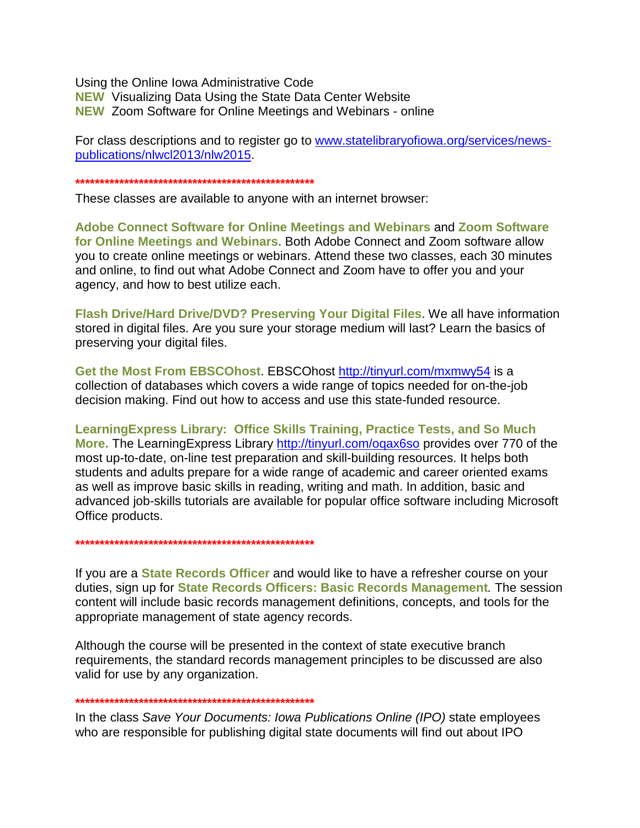Using the Online Iowa Administrative Code **NEW** Visualizing Data Using the State Data Center Website **NEW** Zoom Software for Online Meetings and Webinars - online

For class descriptions and to register go to www.statelibraryofiowa.org/services/newspublications/nlwcl2013/nlw2015.

These classes are available to anyone with an internet browser:

Adobe Connect Software for Online Meetings and Webinars and Zoom Software for Online Meetings and Webinars. Both Adobe Connect and Zoom software allow you to create online meetings or webinars. Attend these two classes, each 30 minutes and online, to find out what Adobe Connect and Zoom have to offer you and your agency, and how to best utilize each.

Flash Drive/Hard Drive/DVD? Preserving Your Digital Files. We all have information stored in digital files. Are you sure your storage medium will last? Learn the basics of preserving your digital files.

Get the Most From EBSCOhost. EBSCOhost http://tinyurl.com/mxmwy54 is a collection of databases which covers a wide range of topics needed for on-the-job decision making. Find out how to access and use this state-funded resource.

Learning Express Library: Office Skills Training, Practice Tests, and So Much More. The Learning Express Library http://tinyurl.com/ogax6so provides over 770 of the most up-to-date, on-line test preparation and skill-building resources. It helps both students and adults prepare for a wide range of academic and career oriented exams as well as improve basic skills in reading, writing and math. In addition, basic and advanced job-skills tutorials are available for popular office software including Microsoft Office products.

If you are a **State Records Officer** and would like to have a refresher course on your duties, sign up for State Records Officers: Basic Records Management. The session content will include basic records management definitions, concepts, and tools for the appropriate management of state agency records.

Although the course will be presented in the context of state executive branch requirements, the standard records management principles to be discussed are also valid for use by any organization.

#### 

In the class Save Your Documents: Iowa Publications Online (IPO) state employees who are responsible for publishing digital state documents will find out about IPO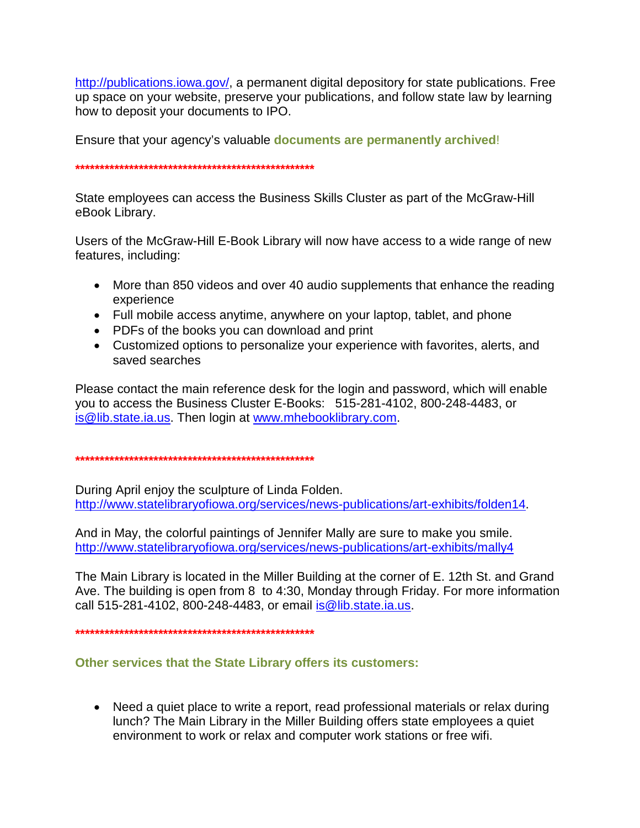[http://publications.iowa.gov/,](http://publications.iowa.gov/) a permanent digital depository for state publications. Free up space on your website, preserve your publications, and follow state law by learning how to deposit your documents to IPO.

Ensure that your agency's valuable **documents are permanently archived**!

**\*\*\*\*\*\*\*\*\*\*\*\*\*\*\*\*\*\*\*\*\*\*\*\*\*\*\*\*\*\*\*\*\*\*\*\*\*\*\*\*\*\*\*\*\*\*\*\*\***

State employees can access the Business Skills Cluster as part of the McGraw-Hill eBook Library.

Users of the McGraw-Hill E-Book Library will now have access to a wide range of new features, including:

- More than 850 videos and over 40 audio supplements that enhance the reading experience
- Full mobile access anytime, anywhere on your laptop, tablet, and phone
- PDFs of the books you can download and print
- Customized options to personalize your experience with favorites, alerts, and saved searches

Please contact the main reference desk for the login and password, which will enable you to access the Business Cluster E-Books: 515-281-4102, 800-248-4483, or [is@lib.state.ia.us.](mailto:is@lib.state.ia.us) Then login at [www.mhebooklibrary.com.](http://www.mhebooklibrary.com/)

### **\*\*\*\*\*\*\*\*\*\*\*\*\*\*\*\*\*\*\*\*\*\*\*\*\*\*\*\*\*\*\*\*\*\*\*\*\*\*\*\*\*\*\*\*\*\*\*\*\***

During April enjoy the sculpture of Linda Folden. [http://www.statelibraryofiowa.org/services/news-publications/art-exhibits/folden14.](http://www.statelibraryofiowa.org/services/news-publications/art-exhibits/folden14)

And in May, the colorful paintings of Jennifer Mally are sure to make you smile. <http://www.statelibraryofiowa.org/services/news-publications/art-exhibits/mally4>

The Main Library is located in the Miller Building at the corner of E. 12th St. and Grand Ave. The building is open from 8 to 4:30, Monday through Friday. For more information call 515-281-4102, 800-248-4483, or email [is@lib.state.ia.us.](mailto:is@lib.state.ia.us)

**\*\*\*\*\*\*\*\*\*\*\*\*\*\*\*\*\*\*\*\*\*\*\*\*\*\*\*\*\*\*\*\*\*\*\*\*\*\*\*\*\*\*\*\*\*\*\*\*\***

## **Other services that the State Library offers its customers:**

• Need a quiet place to write a report, read professional materials or relax during lunch? The Main Library in the Miller Building offers state employees a quiet environment to work or relax and computer work stations or free wifi.